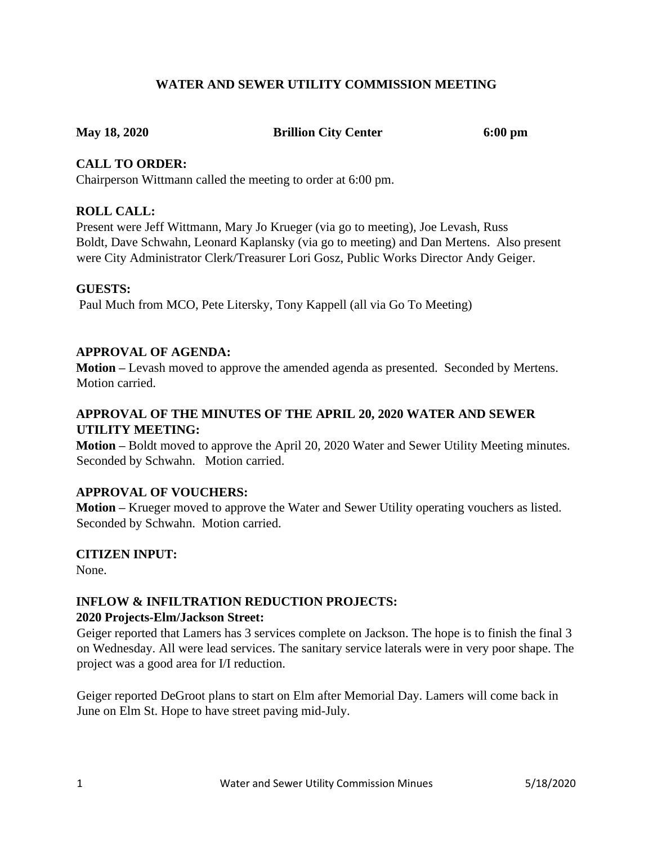# **WATER AND SEWER UTILITY COMMISSION MEETING**

**May 18, 2020 Brillion City Center 6:00 pm** 

### **CALL TO ORDER:**

Chairperson Wittmann called the meeting to order at 6:00 pm.

### **ROLL CALL:**

Present were Jeff Wittmann, Mary Jo Krueger (via go to meeting), Joe Levash, Russ Boldt, Dave Schwahn, Leonard Kaplansky (via go to meeting) and Dan Mertens. Also present were City Administrator Clerk/Treasurer Lori Gosz, Public Works Director Andy Geiger.

#### **GUESTS:**

Paul Much from MCO, Pete Litersky, Tony Kappell (all via Go To Meeting)

# **APPROVAL OF AGENDA:**

**Motion –** Levash moved to approve the amended agenda as presented. Seconded by Mertens. Motion carried.

# **APPROVAL OF THE MINUTES OF THE APRIL 20, 2020 WATER AND SEWER UTILITY MEETING:**

**Motion –** Boldt moved to approve the April 20, 2020 Water and Sewer Utility Meeting minutes. Seconded by Schwahn. Motion carried.

# **APPROVAL OF VOUCHERS:**

**Motion –** Krueger moved to approve the Water and Sewer Utility operating vouchers as listed. Seconded by Schwahn. Motion carried.

# **CITIZEN INPUT:**

None.

# **INFLOW & INFILTRATION REDUCTION PROJECTS:**

#### **2020 Projects-Elm/Jackson Street:**

Geiger reported that Lamers has 3 services complete on Jackson. The hope is to finish the final 3 on Wednesday. All were lead services. The sanitary service laterals were in very poor shape. The project was a good area for I/I reduction.

Geiger reported DeGroot plans to start on Elm after Memorial Day. Lamers will come back in June on Elm St. Hope to have street paving mid-July.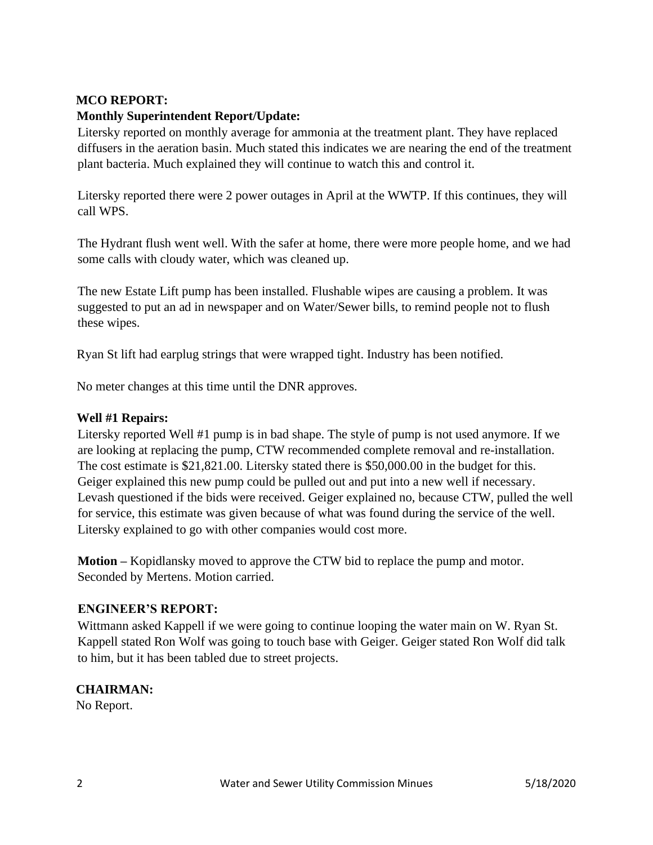# **MCO REPORT:**

# **Monthly Superintendent Report/Update:**

Litersky reported on monthly average for ammonia at the treatment plant. They have replaced diffusers in the aeration basin. Much stated this indicates we are nearing the end of the treatment plant bacteria. Much explained they will continue to watch this and control it.

Litersky reported there were 2 power outages in April at the WWTP. If this continues, they will call WPS.

The Hydrant flush went well. With the safer at home, there were more people home, and we had some calls with cloudy water, which was cleaned up.

The new Estate Lift pump has been installed. Flushable wipes are causing a problem. It was suggested to put an ad in newspaper and on Water/Sewer bills, to remind people not to flush these wipes.

Ryan St lift had earplug strings that were wrapped tight. Industry has been notified.

No meter changes at this time until the DNR approves.

### **Well #1 Repairs:**

Litersky reported Well #1 pump is in bad shape. The style of pump is not used anymore. If we are looking at replacing the pump, CTW recommended complete removal and re-installation. The cost estimate is \$21,821.00. Litersky stated there is \$50,000.00 in the budget for this. Geiger explained this new pump could be pulled out and put into a new well if necessary. Levash questioned if the bids were received. Geiger explained no, because CTW, pulled the well for service, this estimate was given because of what was found during the service of the well. Litersky explained to go with other companies would cost more.

**Motion –** Kopidlansky moved to approve the CTW bid to replace the pump and motor. Seconded by Mertens. Motion carried.

#### **ENGINEER'S REPORT:**

Wittmann asked Kappell if we were going to continue looping the water main on W. Ryan St. Kappell stated Ron Wolf was going to touch base with Geiger. Geiger stated Ron Wolf did talk to him, but it has been tabled due to street projects.

# **CHAIRMAN:**

No Report.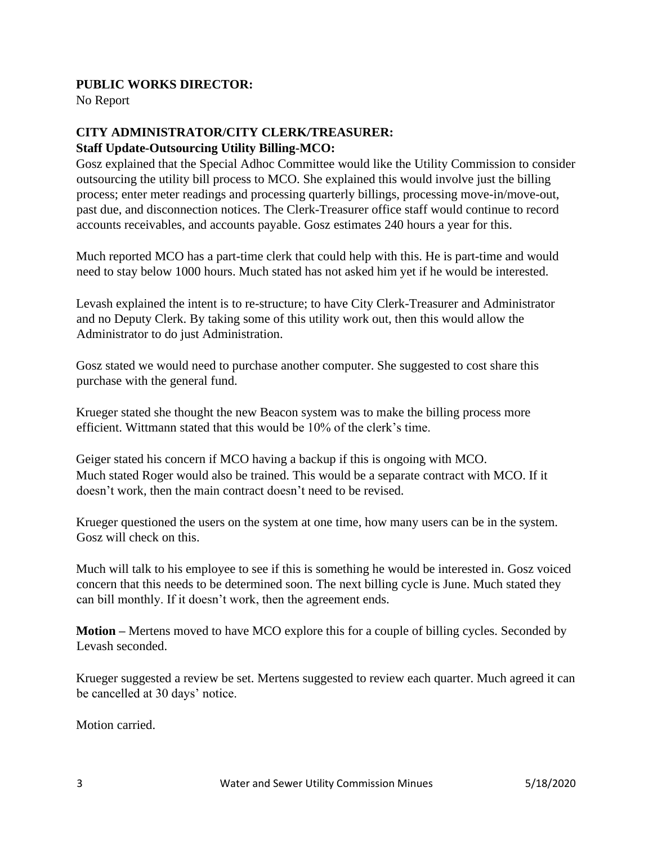### **PUBLIC WORKS DIRECTOR:**

No Report

# **CITY ADMINISTRATOR/CITY CLERK/TREASURER: Staff Update-Outsourcing Utility Billing-MCO:**

Gosz explained that the Special Adhoc Committee would like the Utility Commission to consider outsourcing the utility bill process to MCO. She explained this would involve just the billing process; enter meter readings and processing quarterly billings, processing move-in/move-out, past due, and disconnection notices. The Clerk-Treasurer office staff would continue to record accounts receivables, and accounts payable. Gosz estimates 240 hours a year for this.

Much reported MCO has a part-time clerk that could help with this. He is part-time and would need to stay below 1000 hours. Much stated has not asked him yet if he would be interested.

Levash explained the intent is to re-structure; to have City Clerk-Treasurer and Administrator and no Deputy Clerk. By taking some of this utility work out, then this would allow the Administrator to do just Administration.

Gosz stated we would need to purchase another computer. She suggested to cost share this purchase with the general fund.

Krueger stated she thought the new Beacon system was to make the billing process more efficient. Wittmann stated that this would be 10% of the clerk's time.

Geiger stated his concern if MCO having a backup if this is ongoing with MCO. Much stated Roger would also be trained. This would be a separate contract with MCO. If it doesn't work, then the main contract doesn't need to be revised.

Krueger questioned the users on the system at one time, how many users can be in the system. Gosz will check on this.

Much will talk to his employee to see if this is something he would be interested in. Gosz voiced concern that this needs to be determined soon. The next billing cycle is June. Much stated they can bill monthly. If it doesn't work, then the agreement ends.

**Motion –** Mertens moved to have MCO explore this for a couple of billing cycles. Seconded by Levash seconded.

Krueger suggested a review be set. Mertens suggested to review each quarter. Much agreed it can be cancelled at 30 days' notice.

Motion carried.